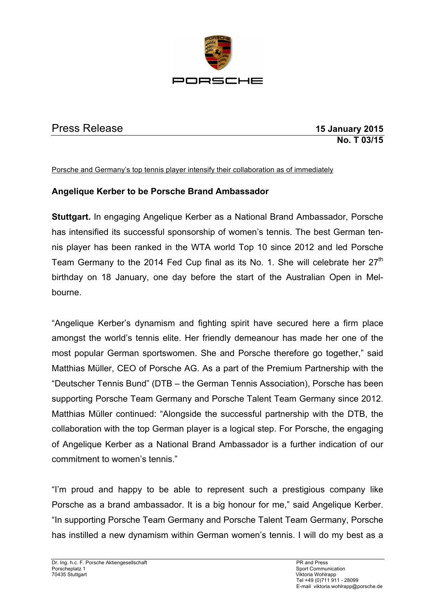

## Press Release **15 January 2015**

**No. T 03/15**

Porsche and Germany's top tennis player intensify their collaboration as of immediately

## **Angelique Kerber to be Porsche Brand Ambassador**

**Stuttgart.** In engaging Angelique Kerber as a National Brand Ambassador, Porsche has intensified its successful sponsorship of women's tennis. The best German tennis player has been ranked in the WTA world Top 10 since 2012 and led Porsche Team Germany to the 2014 Fed Cup final as its No. 1. She will celebrate her 27<sup>th</sup> birthday on 18 January, one day before the start of the Australian Open in Melbourne.

"Angelique Kerber's dynamism and fighting spirit have secured here a firm place amongst the world's tennis elite. Her friendly demeanour has made her one of the most popular German sportswomen. She and Porsche therefore go together," said Matthias Müller, CEO of Porsche AG. As a part of the Premium Partnership with the "Deutscher Tennis Bund" (DTB – the German Tennis Association), Porsche has been supporting Porsche Team Germany and Porsche Talent Team Germany since 2012. Matthias Müller continued: "Alongside the successful partnership with the DTB, the collaboration with the top German player is a logical step. For Porsche, the engaging of Angelique Kerber as a National Brand Ambassador is a further indication of our commitment to women's tennis."

"I'm proud and happy to be able to represent such a prestigious company like Porsche as a brand ambassador. It is a big honour for me," said Angelique Kerber. "In supporting Porsche Team Germany and Porsche Talent Team Germany, Porsche has instilled a new dynamism within German women's tennis. I will do my best as a